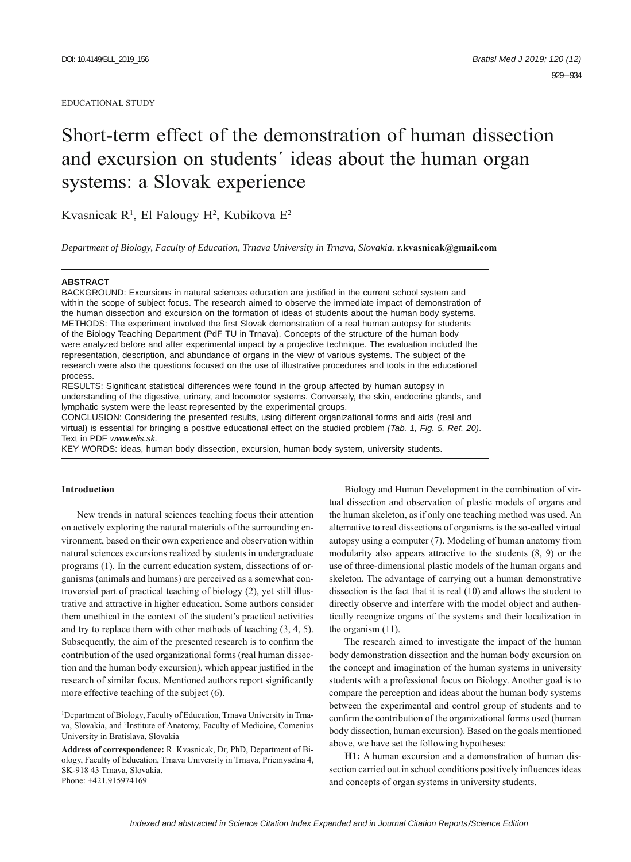#### EDUCATIONAL STUDY

# Short-term effect of the demonstration of human dissection and excursion on students´ ideas about the human organ systems: a Slovak experience

Kvasnicak R<sup>1</sup>, El Falougy H<sup>2</sup>, Kubikova E<sup>2</sup>

*Department of Biology, Faculty of Education, Trnava University in Trnava, Slovakia.* **r.kvasnicak@gmail.com**

## **ABSTRACT**

BACKGROUND: Excursions in natural sciences education are justified in the current school system and within the scope of subject focus. The research aimed to observe the immediate impact of demonstration of the human dissection and excursion on the formation of ideas of students about the human body systems. METHODS: The experiment involved the first Slovak demonstration of a real human autopsy for students of the Biology Teaching Department (PdF TU in Trnava). Concepts of the structure of the human body were analyzed before and after experimental impact by a projective technique. The evaluation included the representation, description, and abundance of organs in the view of various systems. The subject of the research were also the questions focused on the use of illustrative procedures and tools in the educational process.

RESULTS: Significant statistical differences were found in the group affected by human autopsy in understanding of the digestive, urinary, and locomotor systems. Conversely, the skin, endocrine glands, and lymphatic system were the least represented by the experimental groups.

CONCLUSION: Considering the presented results, using different organizational forms and aids (real and virtual) is essential for bringing a positive educational effect on the studied problem *(Tab. 1, Fig. 5, Ref. 20)*. Text in PDF *www.elis.sk.*

KEY WORDS: ideas, human body dissection, excursion, human body system, university students.

# **Introduction**

New trends in natural sciences teaching focus their attention on actively exploring the natural materials of the surrounding environment, based on their own experience and observation within natural sciences excursions realized by students in undergraduate programs (1). In the current education system, dissections of organisms (animals and humans) are perceived as a somewhat controversial part of practical teaching of biology (2), yet still illustrative and attractive in higher education. Some authors consider them unethical in the context of the student's practical activities and try to replace them with other methods of teaching (3, 4, 5). Subsequently, the aim of the presented research is to confirm the contribution of the used organizational forms (real human dissection and the human body excursion), which appear justified in the research of similar focus. Mentioned authors report significantly more effective teaching of the subject (6).

Biology and Human Development in the combination of virtual dissection and observation of plastic models of organs and the human skeleton, as if only one teaching method was used. An alternative to real dissections of organisms is the so-called virtual autopsy using a computer (7). Modeling of human anatomy from modularity also appears attractive to the students (8, 9) or the use of three-dimensional plastic models of the human organs and skeleton. The advantage of carrying out a human demonstrative dissection is the fact that it is real (10) and allows the student to directly observe and interfere with the model object and authentically recognize organs of the systems and their localization in the organism (11).

The research aimed to investigate the impact of the human body demonstration dissection and the human body excursion on the concept and imagination of the human systems in university students with a professional focus on Biology. Another goal is to compare the perception and ideas about the human body systems between the experimental and control group of students and to confirm the contribution of the organizational forms used (human body dissection, human excursion). Based on the goals mentioned above, we have set the following hypotheses:

**H1:** A human excursion and a demonstration of human dissection carried out in school conditions positively influences ideas and concepts of organ systems in university students.

<sup>&</sup>lt;sup>1</sup>Department of Biology, Faculty of Education, Trnava University in Trnava, Slovakia, and 2 Institute of Anatomy, Faculty of Medicine, Comenius University in Bratislava, Slovakia

**Address of correspondence:** R. Kvasnicak, Dr, PhD, Department of Biology, Faculty of Education, Trnava University in Trnava, Priemyselna 4, SK-918 43 Trnava, Slovakia. Phone: +421.915974169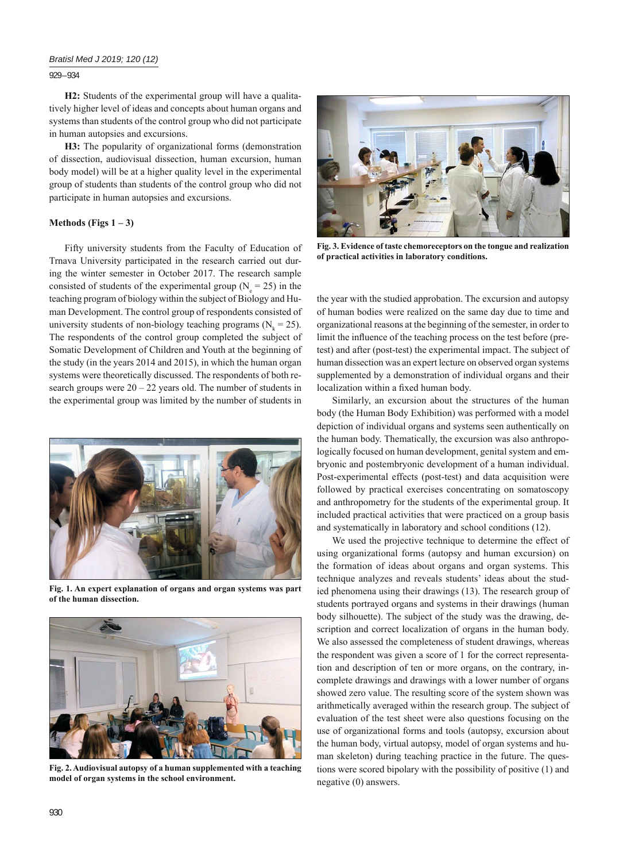# *Bratisl Med J 2019; 120 (12)*

929 – 934

**H2:** Students of the experimental group will have a qualitatively higher level of ideas and concepts about human organs and systems than students of the control group who did not participate in human autopsies and excursions.

**H3:** The popularity of organizational forms (demonstration of dissection, audiovisual dissection, human excursion, human body model) will be at a higher quality level in the experimental group of students than students of the control group who did not participate in human autopsies and excursions.

## **Methods (Figs**  $1 - 3$ **)**

Fifty university students from the Faculty of Education of Trnava University participated in the research carried out during the winter semester in October 2017. The research sample consisted of students of the experimental group ( $N_e$  = 25) in the teaching program of biology within the subject of Biology and Human Development. The control group of respondents consisted of university students of non-biology teaching programs ( $N_k = 25$ ). The respondents of the control group completed the subject of Somatic Development of Children and Youth at the beginning of the study (in the years 2014 and 2015), in which the human organ systems were theoretically discussed. The respondents of both research groups were  $20 - 22$  years old. The number of students in the experimental group was limited by the number of students in



**Fig. 1. An expert explanation of organs and organ systems was part of the human dissection.**



**Fig. 2. Audiovisual autopsy of a human supplemented with a teaching model of organ systems in the school environment.**



**Fig. 3. Evidence of taste chemoreceptors on the tongue and realization of practical activities in laboratory conditions.**

the year with the studied approbation. The excursion and autopsy of human bodies were realized on the same day due to time and organizational reasons at the beginning of the semester, in order to limit the influence of the teaching process on the test before (pretest) and after (post-test) the experimental impact. The subject of human dissection was an expert lecture on observed organ systems supplemented by a demonstration of individual organs and their localization within a fixed human body.

Similarly, an excursion about the structures of the human body (the Human Body Exhibition) was performed with a model depiction of individual organs and systems seen authentically on the human body. Thematically, the excursion was also anthropologically focused on human development, genital system and embryonic and postembryonic development of a human individual. Post-experimental effects (post-test) and data acquisition were followed by practical exercises concentrating on somatoscopy and anthropometry for the students of the experimental group. It included practical activities that were practiced on a group basis and systematically in laboratory and school conditions (12).

We used the projective technique to determine the effect of using organizational forms (autopsy and human excursion) on the formation of ideas about organs and organ systems. This technique analyzes and reveals students' ideas about the studied phenomena using their drawings (13). The research group of students portrayed organs and systems in their drawings (human body silhouette). The subject of the study was the drawing, description and correct localization of organs in the human body. We also assessed the completeness of student drawings, whereas the respondent was given a score of 1 for the correct representation and description of ten or more organs, on the contrary, incomplete drawings and drawings with a lower number of organs showed zero value. The resulting score of the system shown was arithmetically averaged within the research group. The subject of evaluation of the test sheet were also questions focusing on the use of organizational forms and tools (autopsy, excursion about the human body, virtual autopsy, model of organ systems and human skeleton) during teaching practice in the future. The questions were scored bipolary with the possibility of positive (1) and negative (0) answers.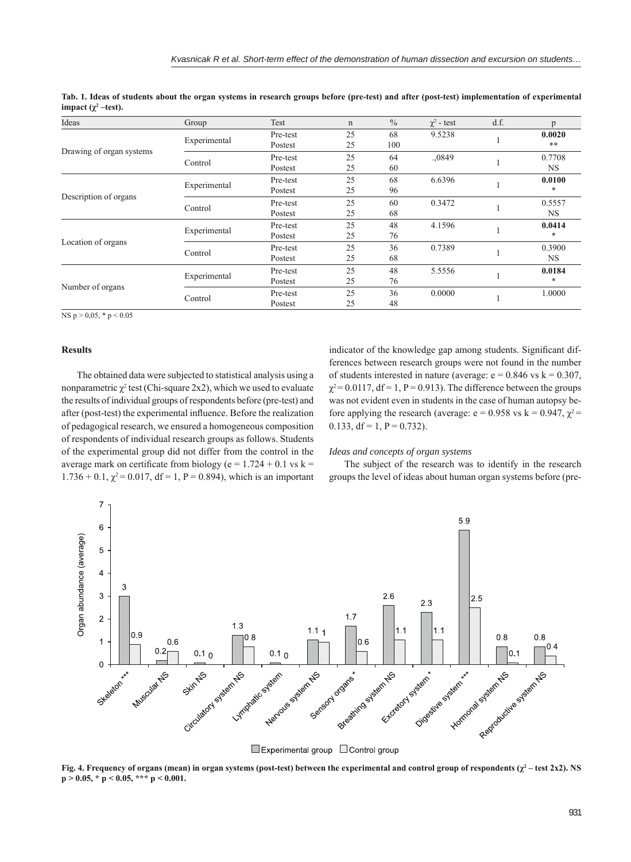| Ideas                    | Group        | Test     | n  | $\frac{0}{0}$ | $\chi^2$ - test | d.f. | D         |
|--------------------------|--------------|----------|----|---------------|-----------------|------|-----------|
| Drawing of organ systems | Experimental | Pre-test | 25 | 68            | 9.5238          |      | 0.0020    |
|                          |              | Postest  | 25 | 100           |                 |      | **        |
|                          | Control      | Pre-test | 25 | 64            | .,0849          |      | 0.7708    |
|                          |              | Postest  | 25 | 60            |                 |      | NS.       |
| Description of organs    | Experimental | Pre-test | 25 | 68            | 6.6396          |      | 0.0100    |
|                          |              | Postest  | 25 | 96            |                 |      | *         |
|                          | Control      | Pre-test | 25 | 60            | 0.3472          |      | 0.5557    |
|                          |              | Postest  | 25 | 68            |                 |      | <b>NS</b> |
| Location of organs       | Experimental | Pre-test | 25 | 48            | 4.1596          |      | 0.0414    |
|                          |              | Postest  | 25 | 76            |                 |      | *         |
|                          | Control      | Pre-test | 25 | 36            | 0.7389          |      | 0.3900    |
|                          |              | Postest  | 25 | 68            |                 |      | NS.       |
| Number of organs         | Experimental | Pre-test | 25 | 48            | 5.5556          |      | 0.0184    |
|                          |              | Postest  | 25 | 76            |                 |      | *         |
|                          | Control      | Pre-test | 25 | 36            | 0.0000          |      | 1.0000    |
|                          |              | Postest  | 25 | 48            |                 |      |           |

**Tab. 1. Ideas of students about the organ systems in research groups before (pre-test) and after (post-test) implementation of experimental impact** ( $χ²$  –test).

NS  $p > 0,05, * p < 0.05$ 

# **Results**

The obtained data were subjected to statistical analysis using a nonparametric  $\chi^2$  test (Chi-square 2x2), which we used to evaluate the results of individual groups of respondents before (pre-test) and after (post-test) the experimental influence. Before the realization of pedagogical research, we ensured a homogeneous composition of respondents of individual research groups as follows. Students of the experimental group did not differ from the control in the average mark on certificate from biology (e =  $1.724 + 0.1$  vs k =  $1.736 + 0.1$ ,  $\chi^2 = 0.017$ , df = 1, P = 0.894), which is an important

indicator of the knowledge gap among students. Significant differences between research groups were not found in the number of students interested in nature (average:  $e = 0.846$  vs  $k = 0.307$ ,  $\gamma^2$  = 0.0117, df = 1, P = 0.913). The difference between the groups was not evident even in students in the case of human autopsy before applying the research (average:  $e = 0.958$  vs k = 0.947,  $\chi^2$  = 0.133, df = 1,  $P = 0.732$ ).

## *Ideas and concepts of organ systems*

The subject of the research was to identify in the research groups the level of ideas about human organ systems before (pre-



**Fig. 4. Frequency of organs (mean) in organ systems (post-test) between the experimental and control group of respondents (** $\chi^2$  **– test 2x2). NS p > 0.05, \* p < 0.05, \*\*\* p < 0.001.**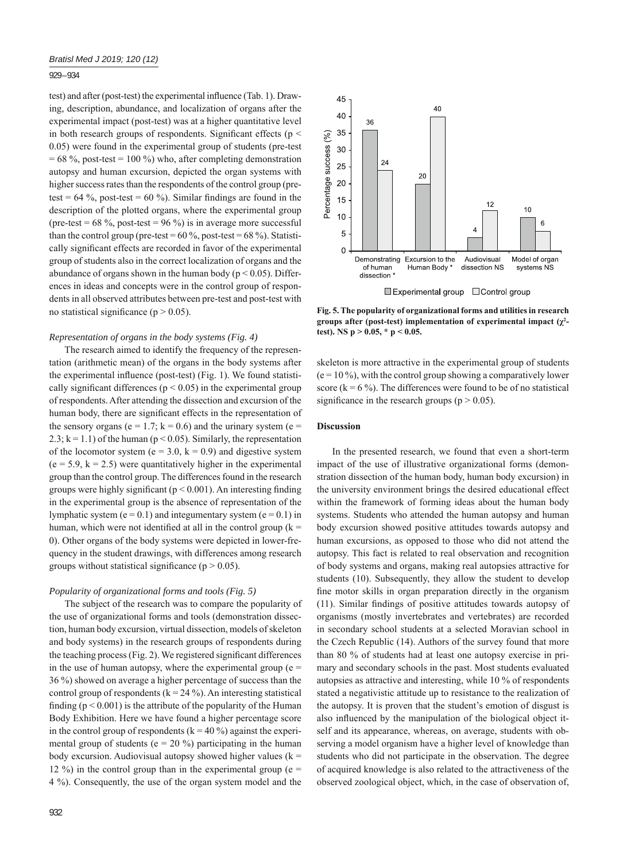## 929 – 934

test) and after (post-test) the experimental influence (Tab. 1). Drawing, description, abundance, and localization of organs after the experimental impact (post-test) was at a higher quantitative level in both research groups of respondents. Significant effects ( $p <$ 0.05) were found in the experimental group of students (pre-test  $= 68 \%$ , post-test  $= 100 \%$ ) who, after completing demonstration autopsy and human excursion, depicted the organ systems with higher success rates than the respondents of the control group (pretest =  $64\%$ , post-test =  $60\%$ ). Similar findings are found in the description of the plotted organs, where the experimental group (pre-test =  $68\%$ , post-test =  $96\%$ ) is in average more successful than the control group (pre-test =  $60\%$ , post-test =  $68\%$ ). Statistically significant effects are recorded in favor of the experimental group of students also in the correct localization of organs and the abundance of organs shown in the human body ( $p < 0.05$ ). Differences in ideas and concepts were in the control group of respondents in all observed attributes between pre-test and post-test with no statistical significance ( $p > 0.05$ ).

#### *Representation of organs in the body systems (Fig. 4)*

The research aimed to identify the frequency of the representation (arithmetic mean) of the organs in the body systems after the experimental influence (post-test) (Fig. 1). We found statistically significant differences ( $p < 0.05$ ) in the experimental group of respondents. After attending the dissection and excursion of the human body, there are significant effects in the representation of the sensory organs ( $e = 1.7$ ;  $k = 0.6$ ) and the urinary system ( $e =$ 2.3;  $k = 1.1$ ) of the human ( $p < 0.05$ ). Similarly, the representation of the locomotor system ( $e = 3.0$ ,  $k = 0.9$ ) and digestive system  $(e = 5.9, k = 2.5)$  were quantitatively higher in the experimental group than the control group. The differences found in the research groups were highly significant ( $p < 0.001$ ). An interesting finding in the experimental group is the absence of representation of the lymphatic system ( $e = 0.1$ ) and integumentary system ( $e = 0.1$ ) in human, which were not identified at all in the control group  $(k =$ 0). Other organs of the body systems were depicted in lower-frequency in the student drawings, with differences among research groups without statistical significance ( $p > 0.05$ ).

#### *Popularity of organizational forms and tools (Fig. 5)*

The subject of the research was to compare the popularity of the use of organizational forms and tools (demonstration dissection, human body excursion, virtual dissection, models of skeleton and body systems) in the research groups of respondents during the teaching process  $(Fig. 2)$ . We registered significant differences in the use of human autopsy, where the experimental group ( $e =$ 36 %) showed on average a higher percentage of success than the control group of respondents  $(k = 24\%)$ . An interesting statistical finding ( $p < 0.001$ ) is the attribute of the popularity of the Human Body Exhibition. Here we have found a higher percentage score in the control group of respondents ( $k = 40\%$ ) against the experimental group of students ( $e = 20\%$ ) participating in the human body excursion. Audiovisual autopsy showed higher values  $(k =$ 12 %) in the control group than in the experimental group ( $e =$ 4 %). Consequently, the use of the organ system model and the



**Fig. 5. The popularity of organizational forms and utilities in research groups after (post-test) implementation of experimental impact (χ<sup>2</sup> test). NS p > 0.05, \* p < 0.05.**

skeleton is more attractive in the experimental group of students  $(e = 10\%)$ , with the control group showing a comparatively lower score  $(k = 6\%)$ . The differences were found to be of no statistical significance in the research groups ( $p > 0.05$ ).

#### **Discussion**

In the presented research, we found that even a short-term impact of the use of illustrative organizational forms (demonstration dissection of the human body, human body excursion) in the university environment brings the desired educational effect within the framework of forming ideas about the human body systems. Students who attended the human autopsy and human body excursion showed positive attitudes towards autopsy and human excursions, as opposed to those who did not attend the autopsy. This fact is related to real observation and recognition of body systems and organs, making real autopsies attractive for students (10). Subsequently, they allow the student to develop fine motor skills in organ preparation directly in the organism (11). Similar findings of positive attitudes towards autopsy of organisms (mostly invertebrates and vertebrates) are recorded in secondary school students at a selected Moravian school in the Czech Republic (14). Authors of the survey found that more than 80 % of students had at least one autopsy exercise in primary and secondary schools in the past. Most students evaluated autopsies as attractive and interesting, while 10 % of respondents stated a negativistic attitude up to resistance to the realization of the autopsy. It is proven that the student's emotion of disgust is also influenced by the manipulation of the biological object itself and its appearance, whereas, on average, students with observing a model organism have a higher level of knowledge than students who did not participate in the observation. The degree of acquired knowledge is also related to the attractiveness of the observed zoological object, which, in the case of observation of,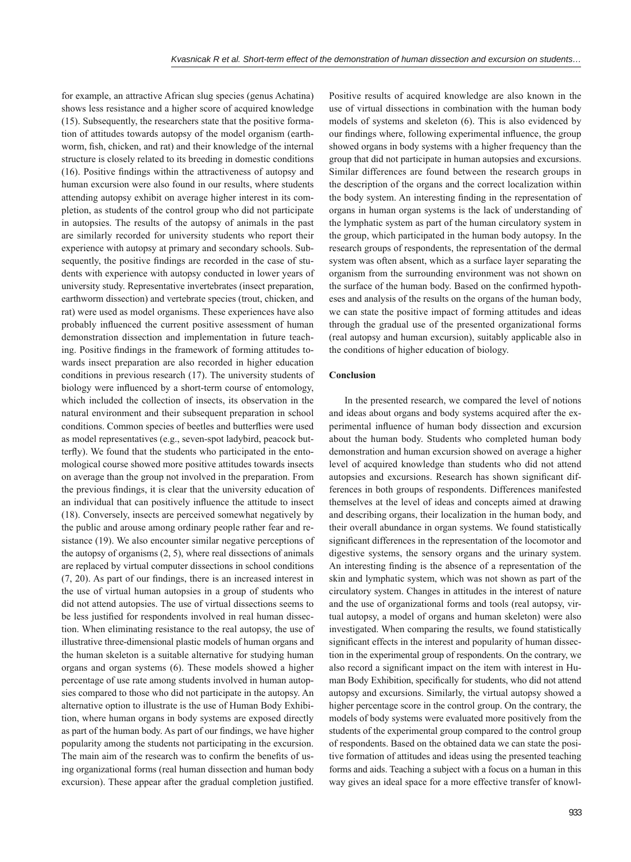for example, an attractive African slug species (genus Achatina) shows less resistance and a higher score of acquired knowledge (15). Subsequently, the researchers state that the positive formation of attitudes towards autopsy of the model organism (earthworm, fish, chicken, and rat) and their knowledge of the internal structure is closely related to its breeding in domestic conditions  $(16)$ . Positive findings within the attractiveness of autopsy and human excursion were also found in our results, where students attending autopsy exhibit on average higher interest in its completion, as students of the control group who did not participate in autopsies. The results of the autopsy of animals in the past are similarly recorded for university students who report their experience with autopsy at primary and secondary schools. Subsequently, the positive findings are recorded in the case of students with experience with autopsy conducted in lower years of university study. Representative invertebrates (insect preparation, earthworm dissection) and vertebrate species (trout, chicken, and rat) were used as model organisms. These experiences have also probably influenced the current positive assessment of human demonstration dissection and implementation in future teaching. Positive findings in the framework of forming attitudes towards insect preparation are also recorded in higher education conditions in previous research (17). The university students of biology were influenced by a short-term course of entomology. which included the collection of insects, its observation in the natural environment and their subsequent preparation in school conditions. Common species of beetles and butterflies were used as model representatives (e.g., seven-spot ladybird, peacock butterfly). We found that the students who participated in the entomological course showed more positive attitudes towards insects on average than the group not involved in the preparation. From the previous findings, it is clear that the university education of an individual that can positively influence the attitude to insect (18). Conversely, insects are perceived somewhat negatively by the public and arouse among ordinary people rather fear and resistance (19). We also encounter similar negative perceptions of the autopsy of organisms (2, 5), where real dissections of animals are replaced by virtual computer dissections in school conditions  $(7, 20)$ . As part of our findings, there is an increased interest in the use of virtual human autopsies in a group of students who did not attend autopsies. The use of virtual dissections seems to be less justified for respondents involved in real human dissection. When eliminating resistance to the real autopsy, the use of illustrative three-dimensional plastic models of human organs and the human skeleton is a suitable alternative for studying human organs and organ systems (6). These models showed a higher percentage of use rate among students involved in human autopsies compared to those who did not participate in the autopsy. An alternative option to illustrate is the use of Human Body Exhibition, where human organs in body systems are exposed directly as part of the human body. As part of our findings, we have higher popularity among the students not participating in the excursion. The main aim of the research was to confirm the benefits of using organizational forms (real human dissection and human body excursion). These appear after the gradual completion justified.

Positive results of acquired knowledge are also known in the use of virtual dissections in combination with the human body models of systems and skeleton (6). This is also evidenced by our findings where, following experimental influence, the group showed organs in body systems with a higher frequency than the group that did not participate in human autopsies and excursions. Similar differences are found between the research groups in the description of the organs and the correct localization within the body system. An interesting finding in the representation of organs in human organ systems is the lack of understanding of the lymphatic system as part of the human circulatory system in the group, which participated in the human body autopsy. In the research groups of respondents, the representation of the dermal system was often absent, which as a surface layer separating the organism from the surrounding environment was not shown on the surface of the human body. Based on the confirmed hypotheses and analysis of the results on the organs of the human body, we can state the positive impact of forming attitudes and ideas through the gradual use of the presented organizational forms (real autopsy and human excursion), suitably applicable also in the conditions of higher education of biology.

# **Conclusion**

In the presented research, we compared the level of notions and ideas about organs and body systems acquired after the experimental influence of human body dissection and excursion about the human body. Students who completed human body demonstration and human excursion showed on average a higher level of acquired knowledge than students who did not attend autopsies and excursions. Research has shown significant differences in both groups of respondents. Differences manifested themselves at the level of ideas and concepts aimed at drawing and describing organs, their localization in the human body, and their overall abundance in organ systems. We found statistically significant differences in the representation of the locomotor and digestive systems, the sensory organs and the urinary system. An interesting finding is the absence of a representation of the skin and lymphatic system, which was not shown as part of the circulatory system. Changes in attitudes in the interest of nature and the use of organizational forms and tools (real autopsy, virtual autopsy, a model of organs and human skeleton) were also investigated. When comparing the results, we found statistically significant effects in the interest and popularity of human dissection in the experimental group of respondents. On the contrary, we also record a significant impact on the item with interest in Human Body Exhibition, specifically for students, who did not attend autopsy and excursions. Similarly, the virtual autopsy showed a higher percentage score in the control group. On the contrary, the models of body systems were evaluated more positively from the students of the experimental group compared to the control group of respondents. Based on the obtained data we can state the positive formation of attitudes and ideas using the presented teaching forms and aids. Teaching a subject with a focus on a human in this way gives an ideal space for a more effective transfer of knowl